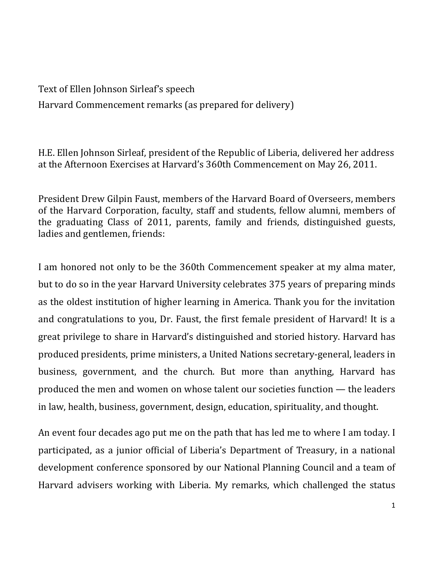Text of Ellen Johnson Sirleaf's speech Harvard Commencement remarks (as prepared for delivery)

H.E. Ellen Johnson Sirleaf, president of the Republic of Liberia, delivered her address at the Afternoon Exercises at Harvard's 360th Commencement on May 26, 2011.

President Drew Gilpin Faust, members of the Harvard Board of Overseers, members of the Harvard Corporation, faculty, staff and students, fellow alumni, members of the graduating Class of 2011, parents, family and friends, distinguished guests, ladies and gentlemen, friends:

I am honored not only to be the 360th Commencement speaker at my alma mater, but to do so in the year Harvard University celebrates 375 years of preparing minds as the oldest institution of higher learning in America. Thank you for the invitation and congratulations to you, Dr. Faust, the first female president of Harvard! It is a great privilege to share in Harvard's distinguished and storied history. Harvard has produced presidents, prime ministers, a United Nations secretary-general, leaders in business, government, and the church. But more than anything, Harvard has produced the men and women on whose talent our societies function  $-$  the leaders in law, health, business, government, design, education, spirituality, and thought.

An event four decades ago put me on the path that has led me to where I am today. I participated, as a junior official of Liberia's Department of Treasury, in a national development conference sponsored by our National Planning Council and a team of Harvard advisers working with Liberia. My remarks, which challenged the status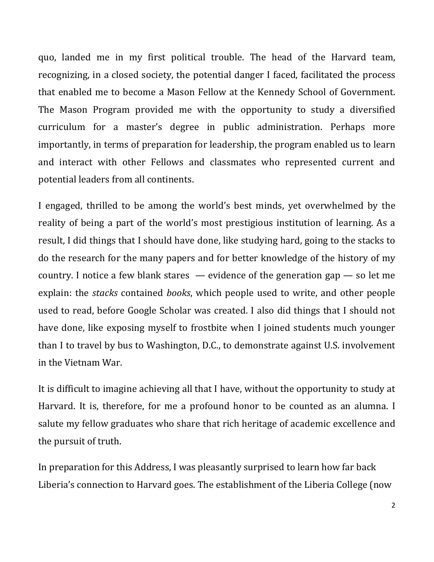quo, landed me in my first political trouble. The head of the Harvard team, recognizing, in a closed society, the potential danger I faced, facilitated the process that enabled me to become a Mason Fellow at the Kennedy School of Government. The Mason Program provided me with the opportunity to study a diversified curriculum for a master's degree in public administration. Perhaps more importantly, in terms of preparation for leadership, the program enabled us to learn and interact with other Fellows and classmates who represented current and potential leaders from all continents.

I engaged, thrilled to be among the world's best minds, yet overwhelmed by the reality of being a part of the world's most prestigious institution of learning. As a result, I did things that I should have done, like studying hard, going to the stacks to do the research for the many papers and for better knowledge of the history of my country. I notice a few blank stares  $-$  evidence of the generation gap  $-$  so let me explain: the *stacks* contained *books*, which people used to write, and other people used to read, before Google Scholar was created. I also did things that I should not have done, like exposing myself to frostbite when I joined students much younger than I to travel by bus to Washington, D.C., to demonstrate against U.S. involvement in the Vietnam War.

It is difficult to imagine achieving all that I have, without the opportunity to study at Harvard. It is, therefore, for me a profound honor to be counted as an alumna. I salute my fellow graduates who share that rich heritage of academic excellence and the pursuit of truth.

In preparation for this Address, I was pleasantly surprised to learn how far back Liberia's connection to Harvard goes. The establishment of the Liberia College (now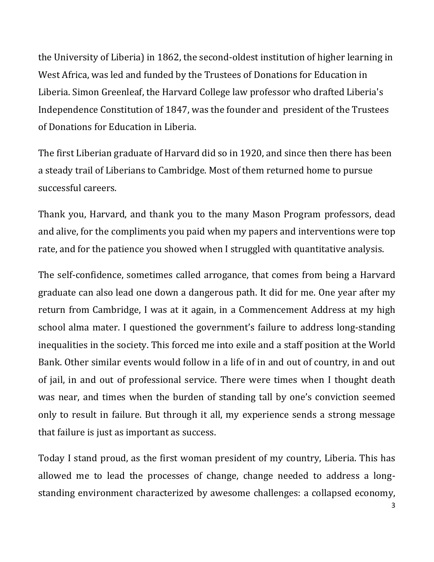the University of Liberia) in 1862, the second-oldest institution of higher learning in West Africa, was led and funded by the Trustees of Donations for Education in Liberia. Simon Greenleaf, the Harvard College law professor who drafted Liberia's Independence Constitution of 1847, was the founder and president of the Trustees of Donations for Education in Liberia.

The first Liberian graduate of Harvard did so in 1920, and since then there has been a steady trail of Liberians to Cambridge. Most of them returned home to pursue successful careers.

Thank you, Harvard, and thank you to the many Mason Program professors, dead and alive, for the compliments you paid when my papers and interventions were top rate, and for the patience you showed when I struggled with quantitative analysis.

The self-confidence, sometimes called arrogance, that comes from being a Harvard graduate can also lead one down a dangerous path. It did for me. One year after my return from Cambridge, I was at it again, in a Commencement Address at my high school alma mater. I questioned the government's failure to address long-standing inequalities in the society. This forced me into exile and a staff position at the World Bank. Other similar events would follow in a life of in and out of country, in and out of jail, in and out of professional service. There were times when I thought death was near, and times when the burden of standing tall by one's conviction seemed only to result in failure. But through it all, my experience sends a strong message that failure is just as important as success.

Today I stand proud, as the first woman president of my country, Liberia. This has allowed me to lead the processes of change, change needed to address a longstanding environment characterized by awesome challenges: a collapsed economy,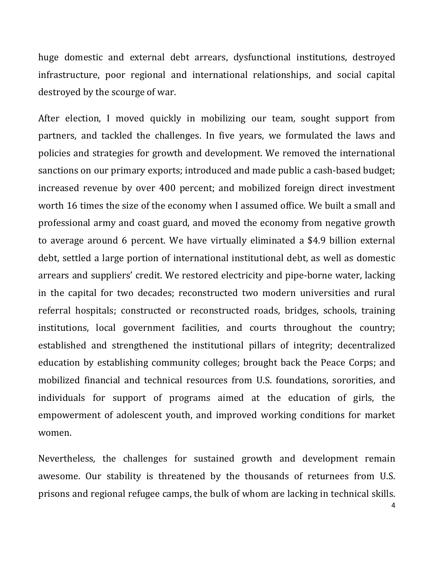huge domestic and external debt arrears, dysfunctional institutions, destroyed infrastructure, poor regional and international relationships, and social capital destroyed by the scourge of war.

After election, I moved quickly in mobilizing our team, sought support from partners, and tackled the challenges. In five years, we formulated the laws and policies and strategies for growth and development. We removed the international sanctions on our primary exports; introduced and made public a cash-based budget; increased revenue by over 400 percent; and mobilized foreign direct investment worth 16 times the size of the economy when I assumed office. We built a small and professional army and coast guard, and moved the economy from negative growth to average around 6 percent. We have virtually eliminated a \$4.9 billion external debt, settled a large portion of international institutional debt, as well as domestic arrears and suppliers' credit. We restored electricity and pipe-borne water, lacking in the capital for two decades; reconstructed two modern universities and rural referral hospitals; constructed or reconstructed roads, bridges, schools, training institutions, local government facilities, and courts throughout the country; established and strengthened the institutional pillars of integrity; decentralized education by establishing community colleges; brought back the Peace Corps; and mobilized financial and technical resources from U.S. foundations, sororities, and individuals for support of programs aimed at the education of girls, the empowerment of adolescent youth, and improved working conditions for market women.

Nevertheless, the challenges for sustained growth and development remain awesome. Our stability is threatened by the thousands of returnees from U.S. prisons and regional refugee camps, the bulk of whom are lacking in technical skills.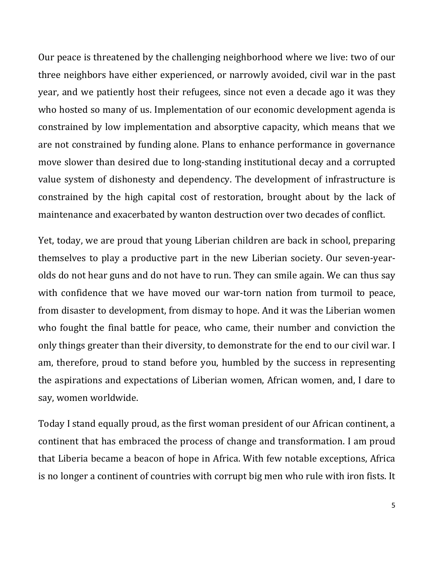Our peace is threatened by the challenging neighborhood where we live: two of our three neighbors have either experienced, or narrowly avoided, civil war in the past year, and we patiently host their refugees, since not even a decade ago it was they who hosted so many of us. Implementation of our economic development agenda is constrained by low implementation and absorptive capacity, which means that we are not constrained by funding alone. Plans to enhance performance in governance move slower than desired due to long-standing institutional decay and a corrupted value system of dishonesty and dependency. The development of infrastructure is constrained by the high capital cost of restoration, brought about by the lack of maintenance and exacerbated by wanton destruction over two decades of conflict.

Yet, today, we are proud that young Liberian children are back in school, preparing themselves to play a productive part in the new Liberian society. Our seven-yearolds do not hear guns and do not have to run. They can smile again. We can thus say with confidence that we have moved our war-torn nation from turmoil to peace, from disaster to development, from dismay to hope. And it was the Liberian women who fought the final battle for peace, who came, their number and conviction the only things greater than their diversity, to demonstrate for the end to our civil war. I am, therefore, proud to stand before you, humbled by the success in representing the aspirations and expectations of Liberian women, African women, and, I dare to say, women worldwide.

Today I stand equally proud, as the first woman president of our African continent, a continent that has embraced the process of change and transformation. I am proud that Liberia became a beacon of hope in Africa. With few notable exceptions, Africa is no longer a continent of countries with corrupt big men who rule with iron fists. It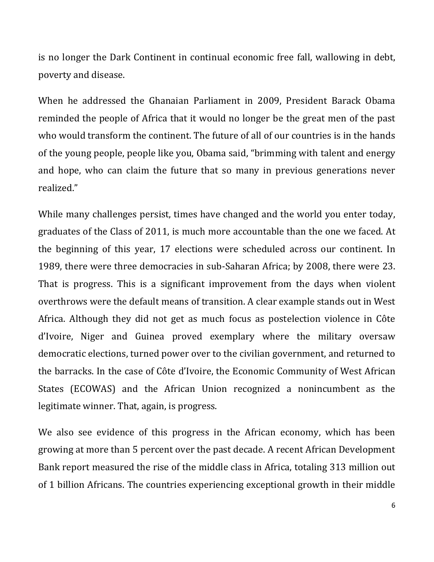is no longer the Dark Continent in continual economic free fall, wallowing in debt, poverty and disease.

When he addressed the Ghanaian Parliament in 2009, President Barack Obama reminded the people of Africa that it would no longer be the great men of the past who would transform the continent. The future of all of our countries is in the hands of the young people, people like you, Obama said, "brimming with talent and energy and hope, who can claim the future that so many in previous generations never realized."

While many challenges persist, times have changed and the world you enter today, graduates of the Class of 2011, is much more accountable than the one we faced. At the beginning of this year, 17 elections were scheduled across our continent. In 1989, there were three democracies in sub-Saharan Africa; by 2008, there were 23. That is progress. This is a significant improvement from the days when violent overthrows were the default means of transition. A clear example stands out in West Africa. Although they did not get as much focus as postelection violence in Côte d'Ivoire, Niger and Guinea proved exemplary where the military oversaw democratic elections, turned power over to the civilian government, and returned to the barracks. In the case of Côte d'Ivoire, the Economic Community of West African States (ECOWAS) and the African Union recognized a nonincumbent as the legitimate winner. That, again, is progress.

We also see evidence of this progress in the African economy, which has been growing at more than 5 percent over the past decade. A recent African Development Bank report measured the rise of the middle class in Africa, totaling 313 million out of 1 billion Africans. The countries experiencing exceptional growth in their middle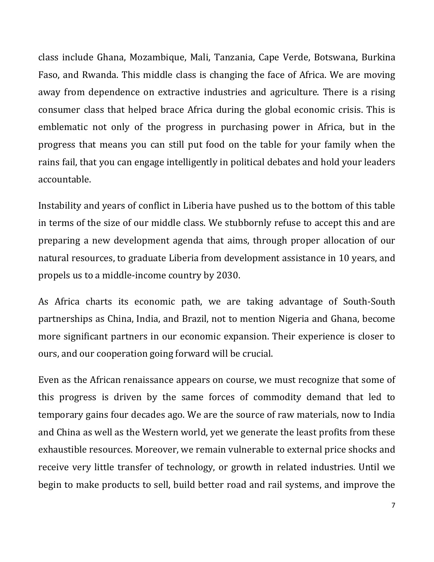class include Ghana, Mozambique, Mali, Tanzania, Cape Verde, Botswana, Burkina Faso, and Rwanda. This middle class is changing the face of Africa. We are moving away from dependence on extractive industries and agriculture. There is a rising consumer class that helped brace Africa during the global economic crisis. This is emblematic not only of the progress in purchasing power in Africa, but in the progress that means you can still put food on the table for your family when the rains fail, that you can engage intelligently in political debates and hold your leaders accountable.

Instability and years of conflict in Liberia have pushed us to the bottom of this table in terms of the size of our middle class. We stubbornly refuse to accept this and are preparing a new development agenda that aims, through proper allocation of our natural resources, to graduate Liberia from development assistance in 10 years, and propels us to a middle-income country by 2030.

As Africa charts its economic path, we are taking advantage of South-South partnerships as China, India, and Brazil, not to mention Nigeria and Ghana, become more significant partners in our economic expansion. Their experience is closer to ours, and our cooperation going forward will be crucial.

Even as the African renaissance appears on course, we must recognize that some of this progress is driven by the same forces of commodity demand that led to temporary gains four decades ago. We are the source of raw materials, now to India and China as well as the Western world, yet we generate the least profits from these exhaustible resources. Moreover, we remain vulnerable to external price shocks and receive very little transfer of technology, or growth in related industries. Until we begin to make products to sell, build better road and rail systems, and improve the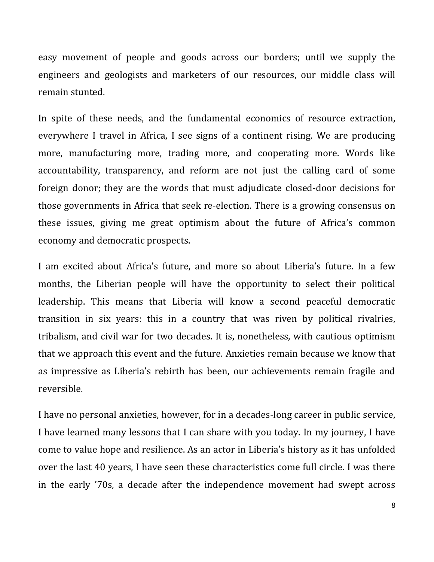easy movement of people and goods across our borders; until we supply the engineers and geologists and marketers of our resources, our middle class will remain stunted.

In spite of these needs, and the fundamental economics of resource extraction, everywhere I travel in Africa, I see signs of a continent rising. We are producing more, manufacturing more, trading more, and cooperating more. Words like accountability, transparency, and reform are not just the calling card of some foreign donor; they are the words that must adjudicate closed-door decisions for those governments in Africa that seek re-election. There is a growing consensus on these issues, giving me great optimism about the future of Africa's common economy and democratic prospects.

I am excited about Africa's future, and more so about Liberia's future. In a few months, the Liberian people will have the opportunity to select their political leadership. This means that Liberia will know a second peaceful democratic transition in six years: this in a country that was riven by political rivalries, tribalism, and civil war for two decades. It is, nonetheless, with cautious optimism that we approach this event and the future. Anxieties remain because we know that as impressive as Liberia's rebirth has been, our achievements remain fragile and reversible.

I have no personal anxieties, however, for in a decades-long career in public service, I have learned many lessons that I can share with you today. In my journey, I have come to value hope and resilience. As an actor in Liberia's history as it has unfolded over the last 40 years, I have seen these characteristics come full circle. I was there in the early '70s, a decade after the independence movement had swept across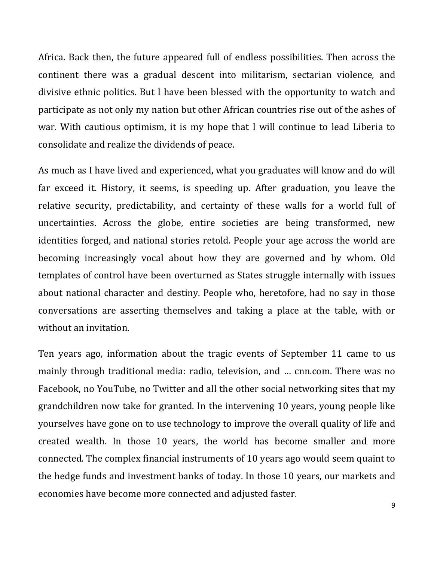Africa. Back then, the future appeared full of endless possibilities. Then across the continent there was a gradual descent into militarism, sectarian violence, and divisive ethnic politics. But I have been blessed with the opportunity to watch and participate as not only my nation but other African countries rise out of the ashes of war. With cautious optimism, it is my hope that I will continue to lead Liberia to consolidate and realize the dividends of peace.

As much as I have lived and experienced, what you graduates will know and do will far exceed it. History, it seems, is speeding up. After graduation, you leave the relative security, predictability, and certainty of these walls for a world full of uncertainties. Across the globe, entire societies are being transformed, new identities forged, and national stories retold. People your age across the world are becoming increasingly vocal about how they are governed and by whom. Old templates of control have been overturned as States struggle internally with issues about national character and destiny. People who, heretofore, had no say in those conversations are asserting themselves and taking a place at the table, with or without an invitation.

Ten years ago, information about the tragic events of September 11 came to us mainly through traditional media: radio, television, and ... cnn.com. There was no Facebook, no YouTube, no Twitter and all the other social networking sites that my grandchildren now take for granted. In the intervening 10 years, young people like yourselves have gone on to use technology to improve the overall quality of life and created wealth. In those 10 years, the world has become smaller and more connected. The complex financial instruments of 10 years ago would seem quaint to the hedge funds and investment banks of today. In those 10 years, our markets and economies have become more connected and adjusted faster.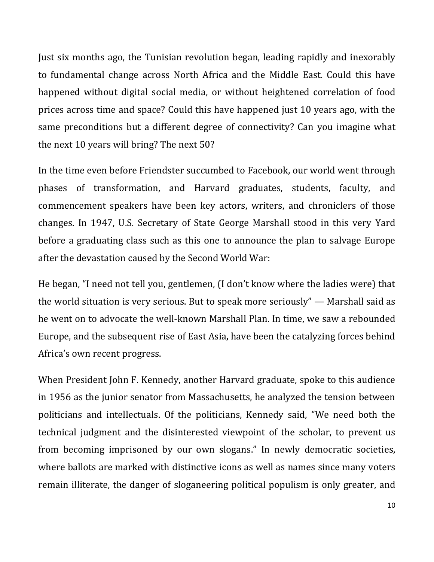Just six months ago, the Tunisian revolution began, leading rapidly and inexorably to fundamental change across North Africa and the Middle East. Could this have happened without digital social media, or without heightened correlation of food prices across time and space? Could this have happened just 10 years ago, with the same preconditions but a different degree of connectivity? Can you imagine what the next 10 years will bring? The next 50?

In the time even before Friendster succumbed to Facebook, our world went through phases of transformation, and Harvard graduates, students, faculty, and commencement speakers have been key actors, writers, and chroniclers of those changes. In 1947, U.S. Secretary of State George Marshall stood in this very Yard before a graduating class such as this one to announce the plan to salvage Europe after the devastation caused by the Second World War:

He began, "I need not tell you, gentlemen, (I don't know where the ladies were) that the world situation is very serious. But to speak more seriously" — Marshall said as he went on to advocate the well-known Marshall Plan. In time, we saw a rebounded Europe, and the subsequent rise of East Asia, have been the catalyzing forces behind Africa's own recent progress.

When President John F. Kennedy, another Harvard graduate, spoke to this audience in 1956 as the junior senator from Massachusetts, he analyzed the tension between politicians and intellectuals. Of the politicians, Kennedy said, "We need both the technical judgment and the disinterested viewpoint of the scholar, to prevent us from becoming imprisoned by our own slogans." In newly democratic societies, where ballots are marked with distinctive icons as well as names since many voters remain illiterate, the danger of sloganeering political populism is only greater, and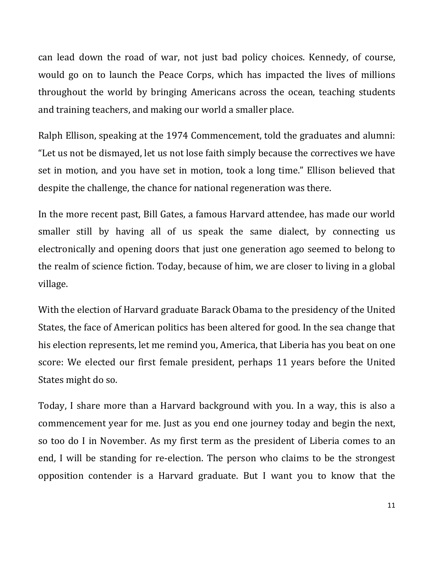can lead down the road of war, not just bad policy choices. Kennedy, of course, would go on to launch the Peace Corps, which has impacted the lives of millions throughout the world by bringing Americans across the ocean, teaching students and training teachers, and making our world a smaller place.

Ralph Ellison, speaking at the 1974 Commencement, told the graduates and alumni: "Let us not be dismayed, let us not lose faith simply because the correctives we have set in motion, and you have set in motion, took a long time." Ellison believed that despite the challenge, the chance for national regeneration was there.

In the more recent past, Bill Gates, a famous Harvard attendee, has made our world smaller still by having all of us speak the same dialect, by connecting us electronically and opening doors that just one generation ago seemed to belong to the realm of science fiction. Today, because of him, we are closer to living in a global village.

With the election of Harvard graduate Barack Obama to the presidency of the United States, the face of American politics has been altered for good. In the sea change that his election represents, let me remind you, America, that Liberia has you beat on one score: We elected our first female president, perhaps 11 years before the United States might do so.

Today, I share more than a Harvard background with you. In a way, this is also a commencement year for me. Just as you end one journey today and begin the next, so too do I in November. As my first term as the president of Liberia comes to an end, I will be standing for re-election. The person who claims to be the strongest opposition contender is a Harvard graduate. But I want you to know that the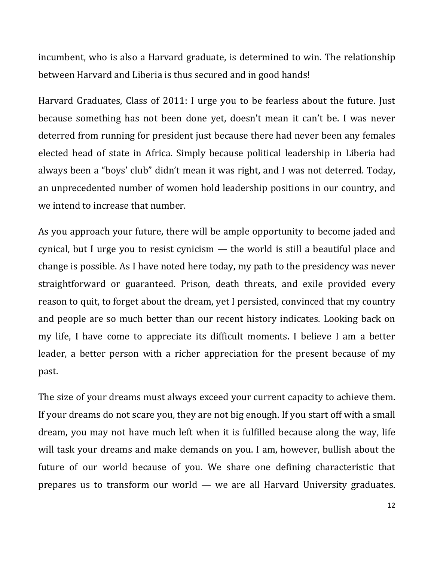incumbent, who is also a Harvard graduate, is determined to win. The relationship between Harvard and Liberia is thus secured and in good hands!

Harvard Graduates, Class of 2011: I urge you to be fearless about the future. Just because something has not been done yet, doesn't mean it can't be. I was never deterred from running for president just because there had never been any females elected head of state in Africa. Simply because political leadership in Liberia had always been a "boys' club" didn't mean it was right, and I was not deterred. Today, an unprecedented number of women hold leadership positions in our country, and we intend to increase that number.

As you approach your future, there will be ample opportunity to become jaded and cynical, but I urge you to resist cynicism — the world is still a beautiful place and change is possible. As I have noted here today, my path to the presidency was never straightforward or guaranteed. Prison, death threats, and exile provided every reason to quit, to forget about the dream, yet I persisted, convinced that my country and people are so much better than our recent history indicates. Looking back on my life, I have come to appreciate its difficult moments. I believe I am a better leader, a better person with a richer appreciation for the present because of my past.

The size of your dreams must always exceed your current capacity to achieve them. If your dreams do not scare you, they are not big enough. If you start off with a small dream, you may not have much left when it is fulfilled because along the way, life will task your dreams and make demands on you. I am, however, bullish about the future of our world because of you. We share one defining characteristic that prepares us to transform our world — we are all Harvard University graduates.